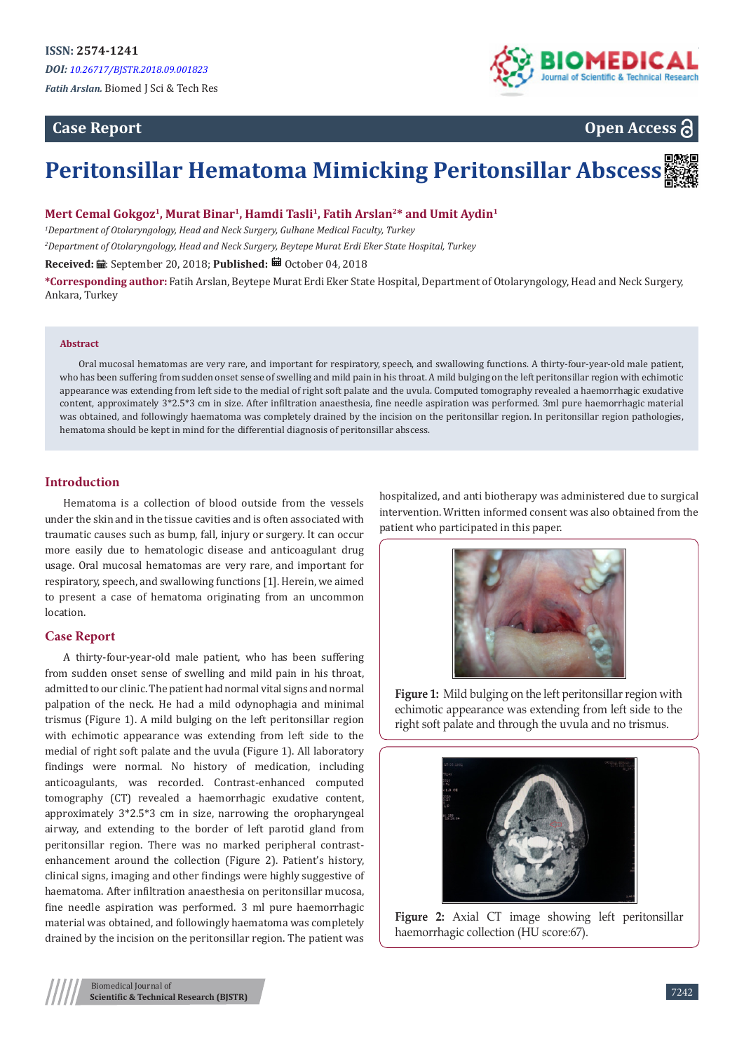# **Case Report**



**Open Access**

# **Peritonsillar Hematoma Mimicking Peritonsillar Abscess**

**Mert Cemal Gokgoz<sup>1</sup>, Murat Binar<sup>1</sup>, Hamdi Tasli<sup>1</sup>, Fatih Arslan<sup>2</sup>\* and Umit Aydin<sup>1</sup>**

*1 Department of Otolaryngology, Head and Neck Surgery, Gulhane Medical Faculty, Turkey 2 Department of Otolaryngology, Head and Neck Surgery, Beytepe Murat Erdi Eker State Hospital, Turkey*

Received: *a*: September 20, 2018; Published: <sup>a</sup> October 04, 2018

**\*Corresponding author:** Fatih Arslan, Beytepe Murat Erdi Eker State Hospital, Department of Otolaryngology, Head and Neck Surgery, Ankara, Turkey

#### **Abstract**

Oral mucosal hematomas are very rare, and important for respiratory, speech, and swallowing functions. A thirty-four-year-old male patient, who has been suffering from sudden onset sense of swelling and mild pain in his throat. A mild bulging on the left peritonsillar region with echimotic appearance was extending from left side to the medial of right soft palate and the uvula. Computed tomography revealed a haemorrhagic exudative content, approximately 3\*2.5\*3 cm in size. After infiltration anaesthesia, fine needle aspiration was performed. 3ml pure haemorrhagic material was obtained, and followingly haematoma was completely drained by the incision on the peritonsillar region. In peritonsillar region pathologies, hematoma should be kept in mind for the differential diagnosis of peritonsillar abscess.

# **Introduction**

Hematoma is a collection of blood outside from the vessels under the skin and in the tissue cavities and is often associated with traumatic causes such as bump, fall, injury or surgery. It can occur more easily due to hematologic disease and anticoagulant drug usage. Oral mucosal hematomas are very rare, and important for respiratory, speech, and swallowing functions [1]. Herein, we aimed to present a case of hematoma originating from an uncommon location.

# **Case Report**

A thirty-four-year-old male patient, who has been suffering from sudden onset sense of swelling and mild pain in his throat, admitted to our clinic. The patient had normal vital signs and normal palpation of the neck. He had a mild odynophagia and minimal trismus (Figure 1). A mild bulging on the left peritonsillar region with echimotic appearance was extending from left side to the medial of right soft palate and the uvula (Figure 1). All laboratory findings were normal. No history of medication, including anticoagulants, was recorded. Contrast-enhanced computed tomography (CT) revealed a haemorrhagic exudative content, approximately 3\*2.5\*3 cm in size, narrowing the oropharyngeal airway, and extending to the border of left parotid gland from peritonsillar region. There was no marked peripheral contrastenhancement around the collection (Figure 2). Patient's history, clinical signs, imaging and other findings were highly suggestive of haematoma. After infiltration anaesthesia on peritonsillar mucosa, fine needle aspiration was performed. 3 ml pure haemorrhagic material was obtained, and followingly haematoma was completely drained by the incision on the peritonsillar region. The patient was

hospitalized, and anti biotherapy was administered due to surgical intervention. Written informed consent was also obtained from the patient who participated in this paper.



**Figure 1:** Mild bulging on the left peritonsillar region with echimotic appearance was extending from left side to the right soft palate and through the uvula and no trismus.



**Figure 2:** Axial CT image showing left peritonsillar haemorrhagic collection (HU score:67).